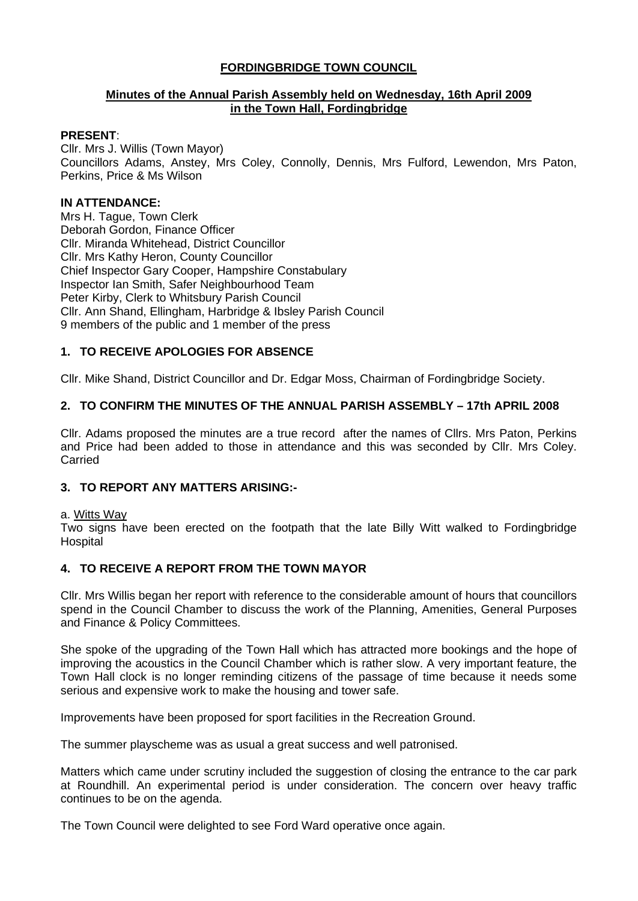# **FORDINGBRIDGE TOWN COUNCIL**

#### **Minutes of the Annual Parish Assembly held on Wednesday, 16th April 2009 in the Town Hall, Fordingbridge**

#### **PRESENT**:

Cllr. Mrs J. Willis (Town Mayor) Councillors Adams, Anstey, Mrs Coley, Connolly, Dennis, Mrs Fulford, Lewendon, Mrs Paton, Perkins, Price & Ms Wilson

#### **IN ATTENDANCE:**

Mrs H. Tague, Town Clerk Deborah Gordon, Finance Officer Cllr. Miranda Whitehead, District Councillor Cllr. Mrs Kathy Heron, County Councillor Chief Inspector Gary Cooper, Hampshire Constabulary Inspector Ian Smith, Safer Neighbourhood Team Peter Kirby, Clerk to Whitsbury Parish Council Cllr. Ann Shand, Ellingham, Harbridge & Ibsley Parish Council 9 members of the public and 1 member of the press

# **1. TO RECEIVE APOLOGIES FOR ABSENCE**

Cllr. Mike Shand, District Councillor and Dr. Edgar Moss, Chairman of Fordingbridge Society.

#### **2. TO CONFIRM THE MINUTES OF THE ANNUAL PARISH ASSEMBLY – 17th APRIL 2008**

Cllr. Adams proposed the minutes are a true record after the names of Cllrs. Mrs Paton, Perkins and Price had been added to those in attendance and this was seconded by Cllr. Mrs Coley. **Carried** 

## **3. TO REPORT ANY MATTERS ARISING:-**

#### a. Witts Way

Two signs have been erected on the footpath that the late Billy Witt walked to Fordingbridge Hospital

#### **4. TO RECEIVE A REPORT FROM THE TOWN MAYOR**

Cllr. Mrs Willis began her report with reference to the considerable amount of hours that councillors spend in the Council Chamber to discuss the work of the Planning, Amenities, General Purposes and Finance & Policy Committees.

She spoke of the upgrading of the Town Hall which has attracted more bookings and the hope of improving the acoustics in the Council Chamber which is rather slow. A very important feature, the Town Hall clock is no longer reminding citizens of the passage of time because it needs some serious and expensive work to make the housing and tower safe.

Improvements have been proposed for sport facilities in the Recreation Ground.

The summer playscheme was as usual a great success and well patronised.

Matters which came under scrutiny included the suggestion of closing the entrance to the car park at Roundhill. An experimental period is under consideration. The concern over heavy traffic continues to be on the agenda.

The Town Council were delighted to see Ford Ward operative once again.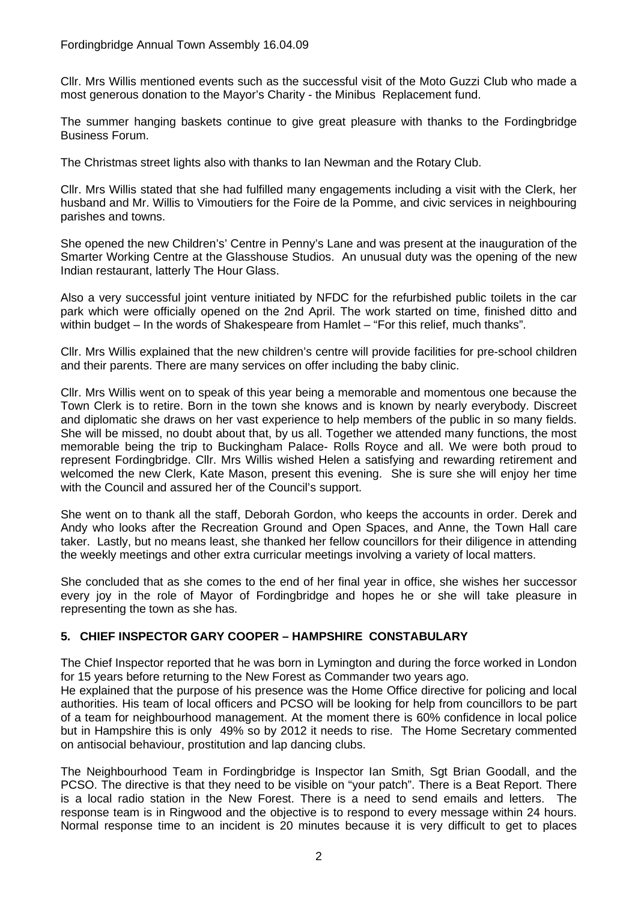#### Fordingbridge Annual Town Assembly 16.04.09

Cllr. Mrs Willis mentioned events such as the successful visit of the Moto Guzzi Club who made a most generous donation to the Mayor's Charity - the Minibus Replacement fund.

The summer hanging baskets continue to give great pleasure with thanks to the Fordingbridge Business Forum.

The Christmas street lights also with thanks to Ian Newman and the Rotary Club.

Cllr. Mrs Willis stated that she had fulfilled many engagements including a visit with the Clerk, her husband and Mr. Willis to Vimoutiers for the Foire de la Pomme, and civic services in neighbouring parishes and towns.

She opened the new Children's' Centre in Penny's Lane and was present at the inauguration of the Smarter Working Centre at the Glasshouse Studios. An unusual duty was the opening of the new Indian restaurant, latterly The Hour Glass.

Also a very successful joint venture initiated by NFDC for the refurbished public toilets in the car park which were officially opened on the 2nd April. The work started on time, finished ditto and within budget – In the words of Shakespeare from Hamlet – "For this relief, much thanks".

Cllr. Mrs Willis explained that the new children's centre will provide facilities for pre-school children and their parents. There are many services on offer including the baby clinic.

Cllr. Mrs Willis went on to speak of this year being a memorable and momentous one because the Town Clerk is to retire. Born in the town she knows and is known by nearly everybody. Discreet and diplomatic she draws on her vast experience to help members of the public in so many fields. She will be missed, no doubt about that, by us all. Together we attended many functions, the most memorable being the trip to Buckingham Palace- Rolls Royce and all. We were both proud to represent Fordingbridge. Cllr. Mrs Willis wished Helen a satisfying and rewarding retirement and welcomed the new Clerk, Kate Mason, present this evening. She is sure she will enjoy her time with the Council and assured her of the Council's support.

She went on to thank all the staff, Deborah Gordon, who keeps the accounts in order. Derek and Andy who looks after the Recreation Ground and Open Spaces, and Anne, the Town Hall care taker. Lastly, but no means least, she thanked her fellow councillors for their diligence in attending the weekly meetings and other extra curricular meetings involving a variety of local matters.

She concluded that as she comes to the end of her final year in office, she wishes her successor every joy in the role of Mayor of Fordingbridge and hopes he or she will take pleasure in representing the town as she has.

#### **5. CHIEF INSPECTOR GARY COOPER – HAMPSHIRE CONSTABULARY**

The Chief Inspector reported that he was born in Lymington and during the force worked in London for 15 years before returning to the New Forest as Commander two years ago.

He explained that the purpose of his presence was the Home Office directive for policing and local authorities. His team of local officers and PCSO will be looking for help from councillors to be part of a team for neighbourhood management. At the moment there is 60% confidence in local police but in Hampshire this is only 49% so by 2012 it needs to rise. The Home Secretary commented on antisocial behaviour, prostitution and lap dancing clubs.

The Neighbourhood Team in Fordingbridge is Inspector Ian Smith, Sgt Brian Goodall, and the PCSO. The directive is that they need to be visible on "your patch". There is a Beat Report. There is a local radio station in the New Forest. There is a need to send emails and letters. The response team is in Ringwood and the objective is to respond to every message within 24 hours. Normal response time to an incident is 20 minutes because it is very difficult to get to places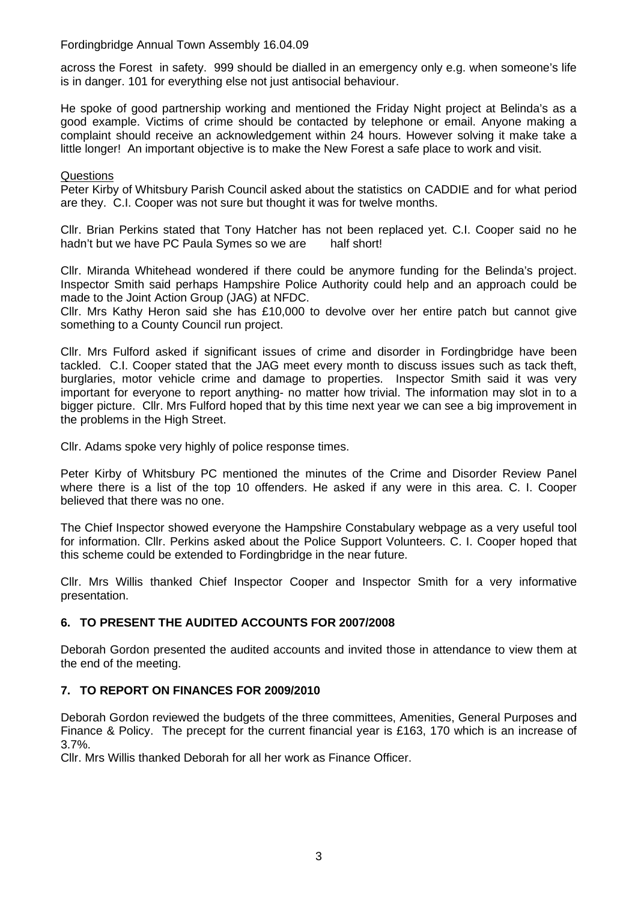Fordingbridge Annual Town Assembly 16.04.09

across the Forest in safety. 999 should be dialled in an emergency only e.g. when someone's life is in danger. 101 for everything else not just antisocial behaviour.

He spoke of good partnership working and mentioned the Friday Night project at Belinda's as a good example. Victims of crime should be contacted by telephone or email. Anyone making a complaint should receive an acknowledgement within 24 hours. However solving it make take a little longer! An important objective is to make the New Forest a safe place to work and visit.

#### **Questions**

Peter Kirby of Whitsbury Parish Council asked about the statistics on CADDIE and for what period are they. C.I. Cooper was not sure but thought it was for twelve months.

Cllr. Brian Perkins stated that Tony Hatcher has not been replaced yet. C.I. Cooper said no he hadn't but we have PC Paula Symes so we are half short!

Cllr. Miranda Whitehead wondered if there could be anymore funding for the Belinda's project. Inspector Smith said perhaps Hampshire Police Authority could help and an approach could be made to the Joint Action Group (JAG) at NFDC.

Cllr. Mrs Kathy Heron said she has £10,000 to devolve over her entire patch but cannot give something to a County Council run project.

Cllr. Mrs Fulford asked if significant issues of crime and disorder in Fordingbridge have been tackled. C.I. Cooper stated that the JAG meet every month to discuss issues such as tack theft, burglaries, motor vehicle crime and damage to properties. Inspector Smith said it was very important for everyone to report anything- no matter how trivial. The information may slot in to a bigger picture. Cllr. Mrs Fulford hoped that by this time next year we can see a big improvement in the problems in the High Street.

Cllr. Adams spoke very highly of police response times.

Peter Kirby of Whitsbury PC mentioned the minutes of the Crime and Disorder Review Panel where there is a list of the top 10 offenders. He asked if any were in this area. C. I. Cooper believed that there was no one.

The Chief Inspector showed everyone the Hampshire Constabulary webpage as a very useful tool for information. Cllr. Perkins asked about the Police Support Volunteers. C. I. Cooper hoped that this scheme could be extended to Fordingbridge in the near future.

Cllr. Mrs Willis thanked Chief Inspector Cooper and Inspector Smith for a very informative presentation.

# **6. TO PRESENT THE AUDITED ACCOUNTS FOR 2007/2008**

Deborah Gordon presented the audited accounts and invited those in attendance to view them at the end of the meeting.

# **7. TO REPORT ON FINANCES FOR 2009/2010**

Deborah Gordon reviewed the budgets of the three committees, Amenities, General Purposes and Finance & Policy. The precept for the current financial year is £163, 170 which is an increase of 3.7%.

Cllr. Mrs Willis thanked Deborah for all her work as Finance Officer.